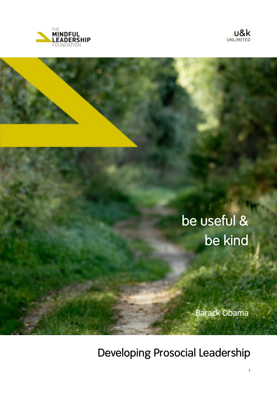



# be useful & be kind

Barack Obama

Developing Prosocial Leadership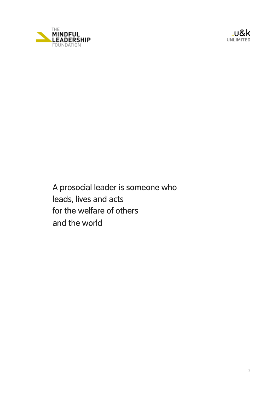

<sup>&</sup>gt;u&k **UNLIMITED**

A prosocial leader is someone who leads, lives and acts for the welfare of others and the world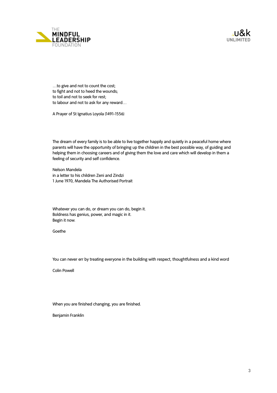



…to give and not to count the cost; to fight and not to heed the wounds; to toil and not to seek for rest; to labour and not to ask for any reward…

A Prayer of St Ignatius Loyola (1491-1556)

The dream of every family is to be able to live together happily and quietly in a peaceful home where parents will have the opportunity of bringing up the children in the best possible way, of guiding and helping them in choosing careers and of giving them the love and care which will develop in them a feeling of security and self confidence.

Nelson Mandela in a letter to his children Zeni and Zindzi 1 June 1970, Mandela The Authorised Portrait

Whatever you can do, or dream you can do, begin it. Boldness has genius, power, and magic in it. Begin it now.

Goethe

You can never err by treating everyone in the building with respect, thoughtfulness and a kind word

Colin Powell

When you are finished changing, you are finished.

Benjamin Franklin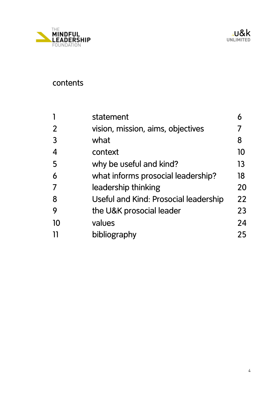

# contents

|                | statement                                    |    |
|----------------|----------------------------------------------|----|
| $\overline{2}$ | vision, mission, aims, objectives            |    |
| $\overline{3}$ | what                                         | 8  |
| $\overline{4}$ | context                                      | 10 |
| 5              | why be useful and kind?                      | 13 |
| 6              | what informs prosocial leadership?           | 18 |
| 7              | leadership thinking                          | 20 |
| 8              | <b>Useful and Kind: Prosocial leadership</b> | 22 |
| 9              | the U&K prosocial leader                     | 23 |
| 10             | values                                       | 24 |
|                | bibliography                                 | 25 |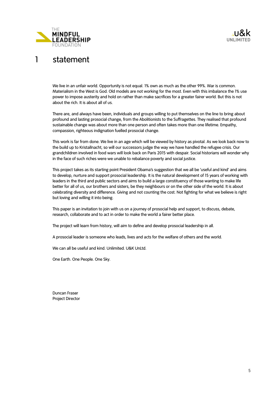

## 1 statement

We live in an unfair world. Opportunity is not equal. 1% own as much as the other 99%. War is common. Materialism in the West is God. Old models are not working for the most. Even with this imbalance the 1% use power to impose austerity and hold on rather than make sacrifices for a greater fairer world. But this is not about the rich. It is about all of us.

There are, and always have been, individuals and groups willing to put themselves on the line to bring about profound and lasting prosocial change, from the Abolitionists to the Suffragettes. They realised that profound sustainable change was about more than one person and often takes more than one lifetime. Empathy, compassion, righteous indignation fuelled prosocial change.

This work is far from done. We live in an age which will be viewed by history as pivotal. As we look back now to the build up to Kristallnacht, so will our successors judge the way we have handled the refugee crisis. Our grandchildren involved in food wars will look back on Paris 2015 with despair. Social historians will wonder why in the face of such riches were we unable to rebalance poverty and social justice.

This project takes as its starting point President Obama's suggestion that we all be 'useful and kind' and aims to develop, nurture and support prosocial leadership. It is the natural development of 15 years of working with leaders in the third and public sectors and aims to build a large constituency of those wanting to make life better for all of us, our brothers and sisters, be they neighbours or on the other side of the world. It is about celebrating diversity and difference. Giving and not counting the cost. Not fighting for what we believe is right but loving and willing it into being.

This paper is an invitation to join with us on a journey of prosocial help and support, to discuss, debate, research, collaborate and to act in order to make the world a fairer better place.

The project will learn from history, will aim to define and develop prosocial leadership in all.

A prosocial leader is someone who leads, lives and acts for the welfare of others and the world.

We can all be useful and kind. Unlimited. U&K UnLtd.

One Earth. One People. One Sky.

Duncan Fraser Project Director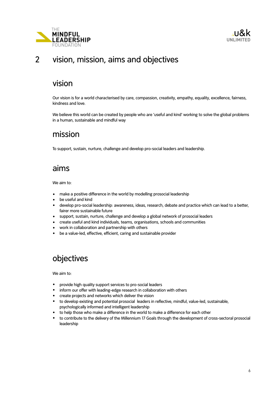



### 2 vision, mission, aims and objectives

### vision

 Our vision is for a world characterised by care, compassion, creativity, empathy, equality, excellence, fairness, kindness and love.

We believe this world can be created by people who are 'useful and kind' working to solve the global problems in a human, sustainable and mindful way

### mission

To support, sustain, nurture, challenge and develop pro-social leaders and leadership.

### aims

We aim to:

- make a positive difference in the world by modelling prosocial leadership
- be useful and kind
- develop pro-social leadership: awareness, ideas, research, debate and practice which can lead to a better, fairer more sustainable future
- support, sustain, nurture, challenge and develop a global network of prosocial leaders
- create useful and kind individuals, teams, organisations, schools and communities
- work in collaboration and partnership with others
- be a value-led, effective, efficient, caring and sustainable provider

### objectives

We aim to:

- provide high quality support services to pro-social leaders
- inform our offer with leading-edge research in collaboration with others
- create projects and networks which deliver the vision
- to develop existing and potential prosocial leaders in reflective, mindful, value-led, sustainable, psychologically informed and intelligent leadership
- to help those who make a difference in the world to make a difference for each other
- to contribute to the delivery of the Millennium 17 Goals through the development of cross-sectoral prosocial leadership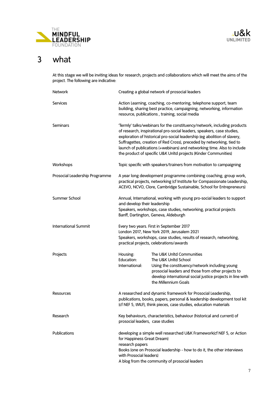

# 3 what

At this stage we will be inviting ideas for research, projects and collaborations which will meet the aims of the project. The following are indicative:

| Network                        |                                                                          | Creating a global network of prosocial leaders                                                                                                                                                                                                                                                                                                                                                                                                         |
|--------------------------------|--------------------------------------------------------------------------|--------------------------------------------------------------------------------------------------------------------------------------------------------------------------------------------------------------------------------------------------------------------------------------------------------------------------------------------------------------------------------------------------------------------------------------------------------|
| <b>Services</b>                |                                                                          | Action Learning, coaching, co-mentoring, telephone support, team<br>building, sharing best practice, campaigning, networking, information<br>resource, publications, training, social media                                                                                                                                                                                                                                                            |
| Seminars                       |                                                                          | 'Termly' talks/webinars for the constituency/network, including products<br>of research, inspirational pro-social leaders, speakers, case studies,<br>exploration of historical pro-social leadership (eg abolition of slavery,<br>Suffragettes, creation of Red Cross), preceded by networking, tied to<br>launch of publications (+webinars) and networking time. Also to include<br>the product of specific U&K Unltd projects (Kinder Communities) |
| Workshops                      |                                                                          | Topic specific with speakers/trainers from motivation to campaigning                                                                                                                                                                                                                                                                                                                                                                                   |
| Prosocial Leadership Programme |                                                                          | A year long development programme combining coaching, group work,<br>practical projects, networking (cf Institute for Compassionate Leadership,<br>ACEVO, NCVO, Clore, Cambridge Sustainable, School for Entrepreneurs)                                                                                                                                                                                                                                |
| Summer School                  | and develop their leadership                                             | Annual, International, working with young pro-social leaders to support<br>Speakers, workshops, case studies, networking, practical projects<br>Banff, Dartington, Geneva, Aldeburgh                                                                                                                                                                                                                                                                   |
| <b>International Summit</b>    |                                                                          | Every two years. First in September 2017<br>London 2017, New York 2019, Jerusalem 2021<br>Speakers, workshops, case studies, results of research, networking,<br>practical projects, celebrations/awards                                                                                                                                                                                                                                               |
| Projects                       | Housing:<br>Education:<br>International:                                 | The U&K Unltd Communities<br>The U&K Unltd School<br>Using the constituency/network including young<br>prosocial leaders and those from other projects to<br>develop international social justice projects in line with<br>the Millennium Goals                                                                                                                                                                                                        |
| Resources                      |                                                                          | A researched and dynamic framework for Prosocial Leadership,<br>publications, books, papers, personal & leadership development tool kit<br>(cf NEF 5, tMLF), think pieces, case studies, education materials                                                                                                                                                                                                                                           |
| Research                       | prosocial leaders, case studies                                          | Key behaviours, characteristics, behaviour (historical and current) of                                                                                                                                                                                                                                                                                                                                                                                 |
| Publications                   | for Happiness Great Dream)<br>research papers<br>with Prosocial leaders) | developing a simple well researched U&K Framework(cf NEF 5, or Action<br>Books (one on Prosocial leadership - how to do it, the other interviews<br>A blog from the community of prosocial leaders                                                                                                                                                                                                                                                     |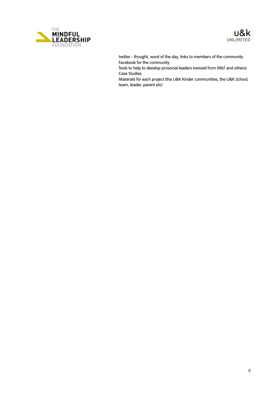



twitter - thought, word of the day, links to members of the community Facebook for the community

Tools to help to develop prosocial leaders (revised from tMLF and others) Case Studies

Materials for each project (the U&K Kinder communities, the U&K School, team, leader, parent etc)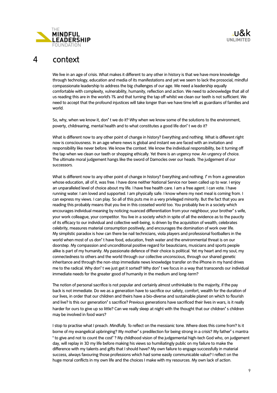

### 4 context

We live in an age of crisis. What makes it different to any other in history is that we have more knowledge through technology, education and media of its manifestations and yet we seem to lack the prosocial, mindful compassionate leadership to address the big challenges of our age. We need a leadership equally comfortable with complexity, vulnerability, humanity, reflection and action. We need to acknowledge that all of us reading this are in the world's 1% and that turning the tap off whilst we clean our teeth is not sufficient. We need to accept that the profound injustices will take longer than we have time left as guardians of families and world.

So, why, when we know it, don**'** t we do it? Why when we know some of the solutions to the environment, poverty, childrearing, mental health and to what constitutes a good life don**'** t we do it?

What is different now to any other point of change in history? Everything and nothing. What is different right now is consciousness. In an age where news is global and instant we are faced with an invitation and responsibility like never before. We know the context. We know the individual responsibility, be it turning off the tap when we clean our teeth or shopping ethically. Yet there is an urgency now. An urgency of choice. The ultimate moral judgement hangs like the sword of Damocles over our heads. The judgement of our successors.

What is different now to any other point of change in history? Everything and nothing. I**'** m from a generation whose education, all of it, was free. I have done neither National Service nor been called up to war. I enjoy an unparalleled level of choice about my life. I have free health care. I am a free agent. I can vote. I have running water. I am loved and supported. I am physically safe. I know where my next meal is coming from. I can express my views. I can play. So all of this puts me in a very privileged minority. But the fact that you are reading this probably means that you live in this cosseted world too. You probably live in a society which encourages individual meaning by noticing nuanced differentiation from your neighbour, your brother**'** s wife, your work colleague, your competitor. You live in a society which in spite of all the evidence as to the paucity of its efficacy to our individual and collective well-being, is driven by the acquisition of wealth, celebrates celebrity, measures material consumption positively, and encourages the domination of work over life. My simplistic paradox is how can there be nail technicians, viola players and professional footballers in the world when most of us don**'** t have food, education, fresh water and the environmental threat is on our doorstep. My compassion and unconditional positive regard for beauticians, musicians and sports people alike is part of my humanity. My passionate defence of their choice is political. Yet my heart and my soul, my connectedness to others and the world through our collective unconscious, through our shared genetic inheritance and through the non-stop immediate news knowledge transfer on the iPhone in my hand drives me to the radical. Why don**'** t we just get it sorted? Why don**'** t we focus in a way that transcends our individual immediate needs for the greater good of humanity in the medium and long-term?

The notion of personal sacrifice is not popular and certainly almost unthinkable to the majority, if the pay back is not immediate. Do we as a generation have to sacrifice our safety, comfort, wealth for the duration of our lives, in order that our children and theirs have a bio-diverse and sustainable planet on which to flourish and live? Is this our generation**'** s sacrifice? Previous generations have sacrificed their lives in wars, is it really harder for ours to give up so little? Can we really sleep at night with the thought that our children**'** s children may be involved in food wars?

I stop to practise what I preach. Mindfully. To reflect on the messianic tone. Where does this come from? Is it borne of my evangelical upbringing? My mother**'** s predilection for being strong in a crisis? My father**'** s mantra **'** to give and not to count the cost**'** ? My childhood vision of the judgemental high-tech God who, on judgement day, will replay in 3D my life before making his views so humiliatingly public on my failure to make the difference with my talents and gifts that I should have? My own failure to engage successfully in material success, always favouring those professions which had some easily communicable value? I reflect on the huge moral conflicts in my own life and the choices I make with my resources. My own lack of action.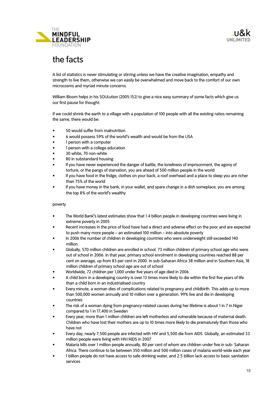

# the facts

A list of statistics is never stimulating or stirring unless we have the creative imagination, empathy and strength to live them, otherwise we can easily be overwhelmed and move back to the comfort of our own microcosms and myriad minute concerns.

William Bloom helps in his SOULution (2005:152) to give a nice easy summary of some facts which give us our first pause for thought:

If we could shrink the earth to a village with a population of 100 people with all the existing ratios remaining the same, there would be:

- 50 would suffer from malnutrition
- 6 would possess 59% of the world**'**s wealth and would be from the USA
- 1 person with a computer
- 1 person with a college education
- 30 white, 70 non-white
- 80 in substandard housing
- If you have never experienced the danger of battle, the loneliness of imprisonment, the agony of torture, or the pangs of starvation, you are ahead of 500 million people in the world
- If you have food in the fridge, clothes on your back, a roof overhead and a place to sleep you are richer than 75% of the world
- If you have money in the bank, in your wallet, and spare change in a dish someplace, you are among the top 8% of the world**'**s wealthy

#### poverty

- The World Bank**'**s latest estimates show that 1.4 billion people in developing countries were living in extreme poverty in 2005
- Recent increases in the price of food have had a direct and adverse effect on the poor and are expected to push many more people – an estimated 100 million – into absolute poverty
- In 2006 the number of children in developing countries who were underweight still exceeded 140 million.
- Globally, 570 million children are enrolled in school. 73 million children of primary school age who were out of school in 2006. In that year, primary school enrolment in developing countries reached 88 per cent on average, up from 83 per cent in 2000. In sub-Saharan Africa 38 million and in Southern Asia, 18 million children of primary school age are out of school
- Worldwide, 72 children per 1,000 under five years of age died in 2006
- A child born in a developing country is over 13 times more likely to die within the first five years of life than a child born in an industrialised country
- Every minute, a woman dies of complications related to pregnancy and childbirth. This adds up to more than 500,000 women annually and 10 million over a generation. 99% live and die in developing countries
- The risk of a woman dying from pregnancy-related causes during her lifetime is about 1 in 7 in Niger compared to 1 in 17,400 in Sweden
- Every year, more than 1 million children are left motherless and vulnerable because of maternal death. Children who have lost their mothers are up to 10 times more likely to die prematurely than those who have not
- Every day, nearly 7,500 people are infected with HIV and 5,500 die from AIDS. Globally, an estimated 33 million people were living with HIV/AIDS in 2007
- Malaria kills over 1 million people annually, 80 per cent of whom are children under five in sub- Saharan Africa. There continue to be between 350 million and 500 million cases of malaria world-wide each year
- 1 billion people do not have access to safe drinking water, and 2.5 billion lack access to basic sanitation services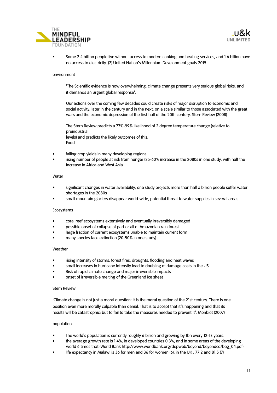



• Some 2.4 billion people live without access to modern cooking and heating services, and 1.6 billion have no access to electricity. (2) United Nation**'**s Millennium Development goals 2015

#### environment

**'**The Scientific evidence is now overwhelming: climate change presents very serious global risks, and it demands an urgent global response**'**.

Our actions over the coming few decades could create risks of major disruption to economic and social activity, later in the century and in the next, on a scale similar to those associated with the great wars and the economic depression of the first half of the 20th century. Stern Review (2008)

The Stern Review predicts a 77%-99% likelihood of 2 degree temperature change (relative to preindustrial levels) and predicts the likely outcomes of this: Food

- falling crop yields in many developing regions
- rising number of people at risk from hunger (25-60% increase in the 2080s in one study, with half the increase in Africa and West Asia

#### Water

- significant changes in water availability, one study projects more than half a billion people suffer water shortages in the 2080s
- small mountain glaciers disappear world-wide, potential threat to water supplies in several areas

#### Ecosystems

- coral reef ecosystems extensively and eventually irreversibly damaged
- possible onset of collapse of part or all of Amazonian rain forest
- large fraction of current ecosystems unable to maintain current form
- many species face extinction (20-50% in one study)

#### Weather

- rising intensity of storms, forest fires, droughts, flooding and heat waves
- small increases in hurricane intensity lead to doubling of damage costs in the US
- Risk of rapid climate change and major irreversible impacts
- onset of irreversible melting of the Greenland ice sheet

#### Stern Review

**'**Climate change is not just a moral question: it is the moral question of the 21st century. There is one position even more morally culpable than denial. That is to accept that it**'**s happening and that its results will be catastrophic; but to fail to take the measures needed to prevent it**'**. Monbiot (2007)

#### population

- The world**'**s population is currently roughly 6 billion and growing by 1bn every 12-13 years.
- the average growth rate is 1.4%, in developed countries 0.3%, and in some areas of the developing world 6 times that (World Bank http://www.worldbank.org/depweb/beyond/beyondco/beg\_04.pdf)
- life expectancy in Malawi is 36 for men and 36 for women (6), in the UK, 77.2 and 81.5 (7)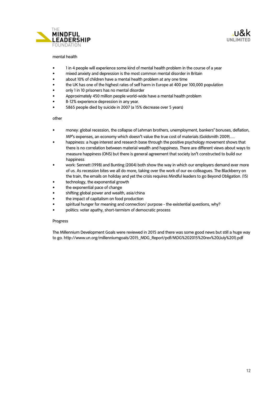



#### mental health

- 1 in 4 people will experience some kind of mental health problem in the course of a year
- mixed anxiety and depression is the most common mental disorder in Britain
- about 10% of children have a mental health problem at any one time
- the UK has one of the highest rates of self harm in Europe at 400 per 100,000 population
- only 1 in 10 prisoners has no mental disorder
- Approximately 450 million people world-wide have a mental health problem
- 8-12% experience depression in any year.
- 5865 people died by suicide in 2007 (a 15% decrease over 5 years)

#### other

- money: global recession, the collapse of Lehman brothers, unemployment, bankers**'** bonuses, deflation, MP**'**s expenses, an economy which doesn**'**t value the true cost of materials (Goldsmith 2009).....
- happiness: a huge interest and research base through the positive psychology movement shows that there is no correlation between material wealth and happiness. There are different views about ways to measure happiness (ONS) but there is general agreement that society isn**'**t constructed to build our happiness
- work: Sennett (1998) and Bunting (2004) both show the way in which our employers demand ever more of us. As recession bites we all do more, taking over the work of our ex-colleagues. The Blackberry on the train, the emails on holiday and yet the crisis requires Mindful leaders to go Beyond Obligation. (15)
- technology, the exponential growth
- the exponential pace of change
- shifting global power and wealth, asia/china
- the impact of capitalism on food production
- spiritual hunger for meaning and connection/ purpose the existential questions, why?
- politics: voter apathy, short-termism of democratic process

#### Progress

The Millennium Development Goals were reviewed in 2015 and there was some good news but still a huge way to go. http://www.un.org/millenniumgoals/2015\_MDG\_Report/pdf/MDG%202015%20rev%20(July%201).pdf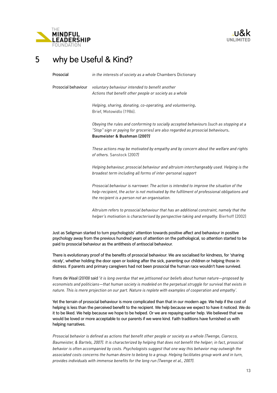



## 5 why be Useful & Kind?

Prosocial *in the interests of society as a whole* Chambers Dictionary Prosocial behaviour *voluntary behaviour intended to benefit another Actions that benefit other people or society as a whole Helping, sharing, donating, co-operating, and volunteering***.**  Brief, Motowidlo (1986). *Obeying the rules and conforming to socially accepted behaviours (such as stopping at a "Stop" sign or paying for groceries) are also regarded as prosocial behaviours***. Baumeister & Bushman (2007***) These actions may be motivated by empathy and by concern about the welfare and rights of others.* Sanstock (200*7)* 

> *Helping behaviour, prosocial behaviour and altruism interchangeably used. Helping is the broadest term including all forms of inter-personal support*

> *Prosocial behaviour is narrower. The action is intended to improve the situation of the help-recipient, the actor is not motivated by the fulfilment of professional obligations and the recipient is a person not an organisation.*

*Altruism refers to prosocial behaviour that has an additional constraint, namely that the helper's motivation is characterised by perspective taking and empathy.* Bierhoff (2002)

Just as Seligman started to turn psychologists' attention towards positive affect and behaviour in positive psychology away from the previous hundred years of attention on the pathological, so attention started to be paid to prosocial behaviour as the antithesis of antisocial behaviour.

There is evolutionary proof of the benefits of prosocial behaviour. We are socialised for kindness, for 'sharing nicely', whether holding the door open or looking after the sick, parenting our children or helping those in distress. If parents and primary caregivers had not been prosocial the human race wouldn't have survived.

Frans de Waal (2010)l said '*it is long overdue that we jettisoned our beliefs about human nature—proposed by economists and politicians—that human society is modeled on the perpetual struggle for survival that exists in nature. This is mere projection on our part. Nature is replete with examples of [cooperation](https://www.psychologytoday.com/basics/teamwork) and empathy'.* 

Yet the terrain of prosocial behaviour is more complicated than that in our modern age. We help if the cost of helping is less than the perceived benefit to the recipient. We help because we expect to have it noticed. We do it to be liked. We help because we hope to be helped. Or we are repaying earlier help. We believed that we would be loved or more acceptable to our parents if we were kind. Faith traditions have furnished us with helping narratives.

*Prosocial behavior is defined as actions that benefit other people or society as a whole (Twenge, Ciarocco, Baumeister, & Bartels, 2007). It is characterized by helping that does not benefit the helper; in fact, prosocial behavior is often accompanied by costs. Psychologists suggest that one way this behavior may outweigh the associated costs concerns the human desire to belong to a group. Helping facilitates group work and in turn, provides individuals with immense benefits for the long run (Twenge et al., 2007).*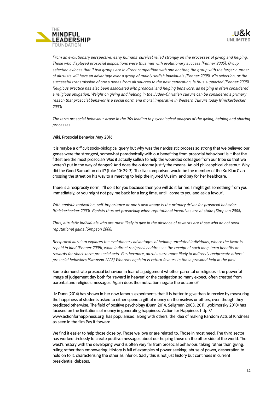

*From an evolutionary perspective, early humans' survival relied strongly on the processes of giving and helping. Those who displayed prosocial dispositions were thus met with evolutionary success (Penner 2005). Group selection evinces that if two groups are in direct competition with one another, the group with the larger number of altruists will have an advantage over a group of mainly selfish individuals (Penner 2005). Kin selection, or the successful transmission of one's genes from all sources to the next generation, is thus supported (Penner 2005). Religious practice has also been associated with prosocial and helping behaviors, as helping is often considered a religious obligation. Weight on giving and helping in the Judeo-Christian culture can be considered a primary reason that prosocial behavior is a social norm and moral imperative in Western Culture today (Knickerbocker 2003).*

*The term prosocial behaviour arose in the 70s leading to psychological analysis of the giving, helping and sharing processes.* 

#### Wiki, Prosocial Behavior May 2016

It is maybe a difficult socio-biological query but why was the narcissistic process so strong that we believed our genes were the strongest, somewhat paradoxically with our benefiting from prosocial behaviour! Is it that the fittest are the most prosocial? Was it actually selfish to help the wounded colleague from our tribe so that we weren't put in the way of danger? And does the outcome justify the means. An old philosophical chestnut. Why did the Good Samaritan do it? (Luke 10: 29-3). The live comparison would be the member of the Ku Klux Clan crossing the street on his way to a meeting to help the injured Muslim and pay for her healthcare.

There is a reciprocity norm, 'I'll do it for you because then you will do it for me. I might get something from you immediately, or you might not pay me back for a long time, until I come to you and ask a favour'.

*With egoistic motivation, self-importance or one's own image is the primary driver for prosocial behavior (Knickerbocker 2003). Egoists thus act prosocially when reputational incentives are at stake (Simpson 2008).*

*Thus, altruistic individuals who are most likely to give in the absence of rewards are those who do not seek reputational gains (Simpson 2008)* 

*Reciprocal altruism explores the evolutionary advantages of helping unrelated individuals, where the favor is repaid in kind (Penner 2005), while indirect reciprocity addresses the receipt of such long-term benefits or rewards for short-term prosocial acts. Furthermore, altruists are more likely to indirectly reciprocate others' prosocial behaviors (Simpson 2008) Whereas egoisim is return favours to those provided help in the past* 

Some demonstrate prosocial behaviour in fear of a judgement whether parental or religious - the powerful image of judgement day both for 'reward in heaven' or the castigation so many expect, often created from parental and religious messages. Again does the motivation negate the outcome?

Liz Dunn (2014) has shown in her now famous experiments that it is better to give than to receive by measuring the happiness of students asked to either spend a gift of money on themselves or others, even though they predicted otherwise. The field of positive psychology (Dunn 2014, Seligman 2003, 2011, Lyobimorsky 2010) has focused on the limitations of money in generating happiness. Action for Happiness http:// www.actionforhappiness.org has popularised, along with others, the idea of making Random Acts of Kindness as seen in the film Pay it forward.

We find it easier to help those close by. Those we love or are related to. Those in most need. The third sector has worked tirelessly to create positive messages about our helping those on the other side of the world. The west's history with the developing world is often very far from prosocial behaviour, taking rather than giving, ruling rather than empowering. History is full of examples of power seeking, abuse of power, desperation to hold on to it, characterising the other as inferior. Sadly this is not just history but continues in current presidential debates.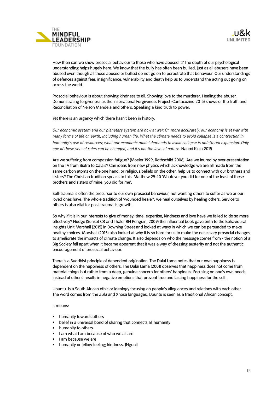

How then can we show prosocial behaviour to those who have abused it? The depth of our psychological understanding helps hugely here. We know that the bully has often been bullied, just as all abusers have been abused even though all those abused or bullied do not go on to perpetrate that behaviour. Our understandings of defences against fear, insignificance, vulnerability and death help us to understand the acting out going on across the world.

Prosocial behaviour is about showing kindness to all. Showing love to the murderer. Healing the abuser. Demonstrating forgiveness as the inspirational Forgiveness Project (Cantacuzino 2015) shows or the Truth and Reconciliation of Nelson Mandela and others. Speaking a kind truth to power.

Yet there is an urgency which there hasn't been in history.

*Our economic system and our planetary system are now at war. Or, more accurately, our economy is at war with many forms of life on earth, including human life. What the climate needs to avoid collapse is a contraction in humanity's use of resources; what our economic model demands to avoid collapse is unfettered expansion. Only one of these sets of rules can be changed, and it's not the laws of nature.* Naomi Klein 2015

Are we suffering from compassion fatigue? (Moeler 1999, Rothschild 2006). Are we inured by over-presentation on the TV from Biafra to Calais? Can ideas from new physics which acknowledge we are all made from the same carbon atoms on the one hand, or religious beliefs on the other, help us to connect with our brothers and sisters? The Christian tradition speaks to this. Matthew 25:40 'Whatever you did for one of the least of these brothers and sisters of mine, you did for me'.

Self-trauma is often the precursor to our own prosocial behaviour, not wanting others to suffer as we or our loved ones have. The whole tradition of 'wounded healer', we heal ourselves by healing others. Service to others is also vital for post-traumatic growth.

So why if it is in our interests to give of money, time, expertise, kindness and love have we failed to do so more effectively? Nudge (Sunset CR and Thaler RH Penguin, 2009) the influential book gave birth to the Behavioural Insights Unit Marshall (2015) in Downing Street and looked at ways in which we can be persuaded to make healthy choices. Marshall (2015) also looked at why it is so hard for us to make the necessary prosocial changes to ameliorate the impacts of climate change. It also depends on who the message comes from - the notion of a Big Society fell apart when it became apparent that it was a way of dressing austerity and not the authentic encouragement of prosocial behaviour.

There is a Buddhist principle of dependent origination. The Dalai Lama notes that our own happiness is dependent on the happiness of others. The Dalai Lama (2001) observes that happiness does not come from material things but rather from a deep, genuine concern for others' happiness. Focusing on one's own needs instead of others' results in negative emotions that prevent true and lasting happiness for the self.

Ubuntu is a South African ethic or ideology focusing on people's allegiances and relations with each other. The word comes from the Zulu and Xhosa languages. Ubuntu is seen as a traditional African concept.

#### It means:

- humanity towards others
- belief in a universal bond of sharing that connects all humanity
- humanity to others
- I am what I am because of who we all are
- I am because we are
- humanity or fellow feeling; kindness. [Nguni]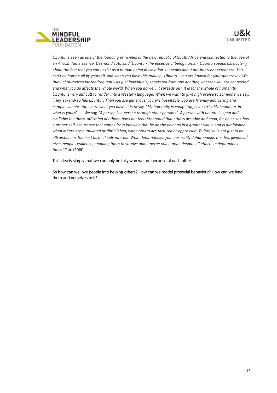

Ubuntu is seen as one of the founding principles of the new republic of South Africa and connected to the idea of *an African Renaissance. Desmond Tutu said 'Ubuntu - the essence of being human. Ubuntu speaks particularly about the fact that you can't exist as a human being in isolation. It speaks about our interconnectedness. You can't be human all by yourself, and when you have this quality - Ubuntu - you are known for your generosity. We think of ourselves far too frequently as just individuals, separated from one another, whereas you are connected and what you do affects the whole world. When you do well, it spreads out; it is for the whole of humanity. Ubuntu is very difficult to render into a Western language. When we want to give high praise to someone we say, "Hey, so-and-so has ubuntu". Then you are generous, you are hospitable, you are friendly and caring and compassionate. You share what you have. It is to say, "My humanity is caught up, is inextricably bound up, in what is yours" . . . We say, "A person is a person through other persons". A person with ubuntu is open and available to others, affirming of others, does not feel threatened that others are able and good, for he or she has a proper self-assurance that comes from knowing that he or she belongs in a greater whole and is diminished when others are humiliated or diminished, when others are tortured or oppressed. To forgive is not just to be altruistic. It is the best form of self-interest. What dehumanises you inexorably dehumanises me. [Forgiveness] gives people resilience, enabling them to survive and emerge still human despite all efforts to dehumanise them.'* Tutu (2000)

This idea is simply that we can only be fully who we are because of each other.

So how can we love people into helping others? How can we model prosocial behaviour? How can we lead them and ourselves to it?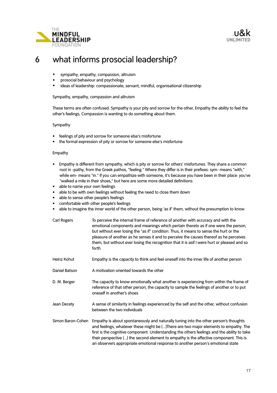



### 6 what informs prosocial leadership?

- sympathy, empathy, compassion, altruism
- prosocial behaviour and psychology
- ideas of leadership: compassionate, servant, mindful, organisational citizenship

Sympathy, empathy, compassion and altruism

These terms are often confused. Sympathy is your pity and sorrow for the other, Empathy the ability to feel the other's feelings, Compassion is wanting to do something about them.

#### Sympathy

- feelings of pity and sorrow for someone else's misfortune
- the formal expression of pity or sorrow for someone else's misfortune

#### Empathy

- Empathy is different from sympathy, which is pity or sorrow for others' misfortunes. They share a common root in -pathy, from the Greek pathos, "feeling." Where they differ is in their prefixes: sym- means "with," while em- means "in." If you can empathize with someone, it's because you have been in their place: you've "walked a mile in their shoes," but here are some more detailed definitions:
- able to name your own feelings
- able to be with own feelings without feeling the need to close them down
- able to sense other people's feelings
- comfortable with other people's feelings
- able to imagine the inner world of the other person, being 'as if' them, without the presumption to know
- Carl Rogers To perceive the internal frame of reference of another with accuracy and with the emotional components and meanings which pertain thereto as if one were the person, but without ever losing the "as if" condition. Thus, it means to sense the hurt or the pleasure of another as he senses it and to perceive the causes thereof as he perceives them, but without ever losing the recognition that it is asif I were hurt or pleased and so forth
- Heinz Kohut Empathy is the capacity to think and feel oneself into the inner life of another person
- Daniel Batson A motivation oriented towards the other
- D. M. Berger The capacity to know emotionally what another is experiencing from within the frame of reference of that other person, the capacity to sample the feelings of another or to put oneself in another's shoes
- Jean Decety A sense of similarity in feelings experienced by the self and the other, without confusion between the two individuals
- Simon Baron-Cohen Empathy is about spontaneously and naturally tuning into the other person's thoughts and feelings, whatever these might be [...]There are two major elements to empathy. The first is the cognitive component. Understanding the others feelings and the ability to take their perspective [...] the second element to empathy is the affective component. This is an observers appropriate emotional response to another person's emotional state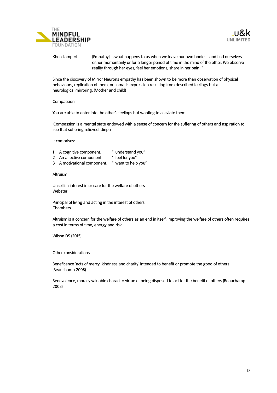



Khen Lampert [Empathy] is what happens to us when we leave our own bodies...and find ourselves either momentarily or for a longer period of time in the mind of the other. We observe reality through her eyes, feel her emotions, share in her pain.."

Since the discovery of Mirror Neurons empathy has been shown to be more than observation of physical behaviours, replication of them, or somatic expression resulting from described feelings but a neurological mirroring. (Mother and child)

#### Compassion

You are able to enter into the other's feelings but wanting to alleviate them.

'Compassion is a mental state endowed with a sense of concern for the suffering of others and aspiration to see that suffering relieved'. Jinpa

It comprises:

- 1 A cognitive component: "I understand you"
- 2 An affective component: "I feel for you"
- 3 A motivational component: "I want to help you"

#### Altruism

Unselfish interest in or care for the welfare of others Webster

Principal of living and acting in the interest of others Chambers

Altruism is a concern for the welfare of others as an end in itself. Improving the welfare of others often requires a cost in terms of time, energy and risk.

Wilson DS (2015)

Other considerations

Beneficence 'acts of mercy, kindness and charity' intended to benefit or promote the good of others (Beauchamp 2008)

Benevolence, morally valuable character virtue of being disposed to act for the benefit of others (Beauchamp 2008)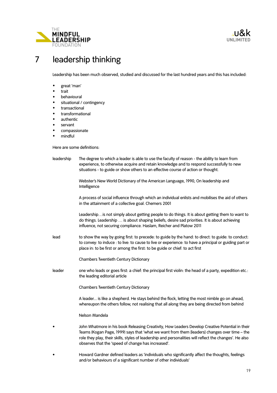

# 7 leadership thinking

Leadership has been much observed, studied and discussed for the last hundred years and this has included:

- great 'man'
- **trait**
- behavioural
- situational / contingency
- transactional
- transformational
- authentic
- servant
- compassionate
- mindful

Here are some definitions:

leadership The degree to which a leader is able to use the faculty of reason - the ability to learn from experience, to otherwise acquire and retain knowledge and to respond successfully to new situations - to guide or show others to an effective course of action or thought.

> Webster's New World Dictionary of the American Language, 1990, On leadership and Intelligence

 A process of social influence through which an individual enlists and mobilises the aid of others in the attainment of a collective goal. Chemers 2001

 Leadership…is not simply about getting people to do things. It is about getting them to want to do things. Leadership … is about shaping beliefs, desire sad priorities. It is about achieving influence, not securing compliance. Haslam, Reicher and Platow 2011

lead to show the way by going first: to precede: to guide by the hand: to direct: to guide: to conduct: to convey: to induce : to live: to cause to live or experience: to have a principal or guiding part or place in: to be first or among the first: to be guide or chief: to act first

Chambers Twentieth Century Dictionary

leader one who leads or goes first: a chief: the principal first violin: the head of a party, expedition etc.: the leading editorial article

Chambers Twentieth Century Dictionary

 A leader... is like a shepherd. He stays behind the flock, letting the most nimble go on ahead, whereupon the others follow, not realising that all along they are being directed from behind

Nelson Mandela

• John Whatmore in his book Releasing Creativity, How Leaders Develop Creative Potential in their Teams (Kogan Page, 1999) says that 'what we want from them [leaders] changes over time – the role they play, their skills, styles of leadership and personalities will reflect the changes'. He also observes that the 'speed of change has increased'.

• Howard Gardner defined leaders as 'individuals who significantly affect the thoughts, feelings and/or behaviours of a significant number of other individuals'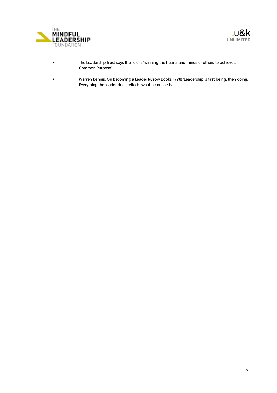



- The Leadership Trust says the role is 'winning the hearts and minds of others to achieve a Common Purpose'.
- Warren Bennis, On Becoming a Leader (Arrow Books 1998) 'Leadership is first being, then doing. Everything the leader does reflects what he or she is'.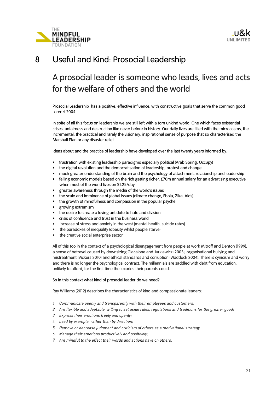

## 8 Useful and Kind: Prosocial Leadership

# A prosocial leader is someone who leads, lives and acts for the welfare of others and the world

Prosocial Leadership has a positive, effective influence, with constructive goals that serve the common good Lorenzi 2004

In spite of all this focus on leadership we are still left with a torn unkind world. One which faces existential crises, unfairness and destruction like never before in history. Our daily lives are filled with the microcosms, the incremental, the practical and rarely the visionary, inspirational sense of purpose that so characterised the Marshall Plan or any disaster relief.

Ideas about and the practice of leadership have developed over the last twenty years informed by:

- frustration with existing leadership paradigms especially political (Arab Spring, Occupy)
- the digital revolution and the democratisation of leadership, protest and change
- much greater understanding of the brain and the psychology of attachment, relationship and leadership
- failing economic models based on the rich getting richer, £70m annual salary for an advertising executive when most of the world lives on \$1.25/day
- greater awareness through the media of the world's issues
- the scale and imminence of global issues (climate change, Ebola, Zika, Aids)
- the growth of mindfulness and compassion in the popular psyche
- growing extremism
- the desire to create a loving antidote to hate and division
- crisis of confidence and trust in the business world
- increase of stress and anxiety in the west (mental health, suicide rates)
- the paradoxes of inequality (obesity whilst people starve)
- the creative social enterprise sector

All of this too in the context of a psychological disengagement from people at work Mitroff and Denton (1999), a sense of betrayal caused by downsizing Giacalone and Jurkiewicz (2003), organisational bullying and mistreatment (Vickers 2010) and ethical standards and corruption (Waddock 2004). There is cynicism and worry and there is no longer the psychological contract. The millennials are saddled with debt from education, unlikely to afford, for the first time the luxuries their parents could.

#### So in this context what kind of prosocial leader do we need?

Ray Williams (2012) describes the characteristics of kind and compassionate leaders:

- *1 Communicate openly and transparently with their employees and customers;*
- *2 Are flexible and adaptable, willing to set aside rules, regulations and traditions for the greater good;*
- *3 Express their emotions freely and openly;*
- *4 Lead by example, rather than by direction;*
- *5 Remove or decrease judgment and criticism of others as a motivational strategy.*
- *6 Manage their emotions productively and positively;*
- *7 Are mindful to the effect their words and actions have on others.*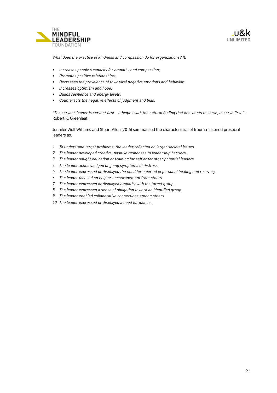



*What does the practice of kindness and compassion do for organizations? It:*

- *Increases people's capacity for empathy and compassion;*
- *Promotes positive relationships;*
- *Decreases the prevalence of toxic viral negative emotions and behavior;*
- *Increases optimism and hope;*
- *Builds resilience and energy levels;*
- *Counteracts the negative effects of judgment and [bias](https://www.psychologytoday.com/basics/bias).*

"*The servant-leader is servant first… It begins with the natural feeling that one wants to serve, to serve first.*" - Robert K. Greenleaf.

Jennifer Wolf Williams and Stuart Allen (2015) summarised the characteristics of trauma-inspired prosocial leaders as:

- *1 To understand target problems, the leader reflected on larger societal issues.*
- *2 The leader developed creative, positive responses to leadership barriers.*
- *3 The leader sought education or training for self or for other potential leaders.*
- *4 The leader acknowledged ongoing symptoms of distress.*
- *5 The leader expressed or displayed the need for a period of personal healing and recovery.*
- *6 The leader focused on help or encouragement from others.*
- *7 The leader expressed or displayed empathy with the target group.*
- *8 The leader expressed a sense of obligation toward an identified group.*
- *9 The leader enabled collaborative connections among others.*
- *10 The leader expressed or displayed a need for justice.*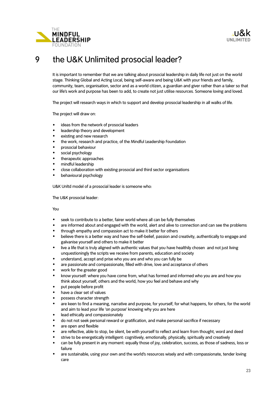



# 9 the U&K Unlimited prosocial leader?

It is important to remember that we are talking about prosocial leadership in daily life not just on the world stage. Thinking Global and Acting Local, being self-aware and being U&K with your friends and family, community, team, organisation, sector and as a world citizen, a guardian and giver rather than a taker so that our life's work and purpose has been to add, to create not just utilise resources. Someone loving and loved.

The project will research ways in which to support and develop prosocial leadership in all walks of life.

The project will draw on:

- ideas from the network of prosocial leaders
- leadership theory and development
- existing and new research
- the work, research and practice, of the Mindful Leadership Foundation
- prosocial behaviour
- social psychology
- therapeutic approaches
- mindful leadership
- close collaboration with existing prosocial and third sector organisations
- behavioural psychology

U&K Unltd model of a prosocial leader is someone who:

The U&K prosocial leader:

You

- seek to contribute to a better, fairer world where all can be fully themselves
- are informed about and engaged with the world, alert and alive to connection and can see the problems
- through empathy and compassion act to make it better for others
- believe there is a better way and have the self-belief, passion and creativity, authentically to engage and galvanise yourself and others to make it better
- live a life that is truly aligned with authentic values that you have healthily chosen and not just living unquestioningly the scripts we receive from parents, education and society
- understand, accept and prise who you are and who you can fully be
- are passionate and compassionate, filled with drive, love and acceptance of others
- work for the greater good
- know yourself: where you have come from, what has formed and informed who you are and how you think about yourself, others and the world, how you feel and behave and why
- put people before profit
- have a clear set of values
- possess character strength
- are keen to find a meaning, narrative and purpose, for yourself, for what happens, for others, for the world and aim to lead your life 'on purpose' knowing why you are here
- lead ethically and compassionately
- do not not seek personal reward or gratification, and make personal sacrifice if necessary
- are open and flexible
- are reflective, able to stop, be silent, be with yourself to reflect and learn from thought, word and deed
- strive to be energetically intelligent: cognitively, emotionally, physically, spiritually and creatively
- can be fully present in any moment: equally those of joy, celebration, success, as those of sadness, loss or failure
- are sustainable, using your own and the world's resources wisely and with compassionate, tender loving care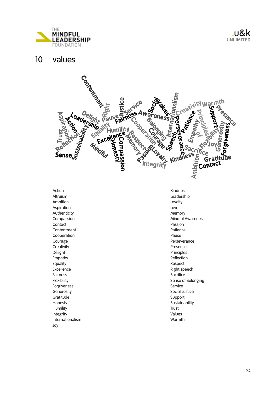

### 10 values



Action Altruism Ambition Aspiration Authenticity Compassion Contact **Contentment** Cooperation Courage **Creativity** Delight Empathy Equality **Excellence** Fairness Flexibility Forgiveness **Generosity** Gratitude Honesty Humility Integrity Internationalism Joy

Kindness Leadership Loyalty Love Memory Mindful Awareness Passion Patience Pause Perseverance Presence Principles Reflection Respect Right speech **Sacrifice** Sense of Belonging Service Social Justice Support Sustainability Trust Values Warmth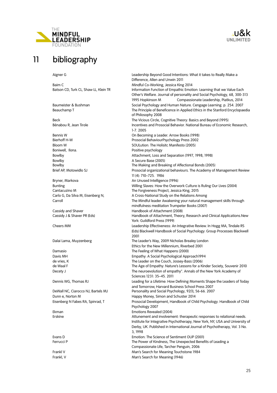

# 11 bibliography

<sup>&</sup>gt;u&k **UNLIMITED**

Boniwell, Ilona. **Positive psychology** 

Bryner, Markova **An Unused Intelligence (1996)** 

Aigner G Leadership Beyond Good Intentions: What it takes to Really Make a Difference, Allen and Unwin 2011 Baim C<br>Batson CD, Turk CL, Shaw LL, Klein TR Mindful Co-Working, Jessica King 2014<br>Information Function of Empathic Emot Information Function of Empathic Emotion: Learning that we Value Each Other's Welfare. Journal of personality and Social Psychology, 68, 300-313 1995 Hopkinson M Compassionate Leadership, Piatkus, 2014 Baumeister & Bushman Social Psychology and Human Nature. Cengage Learning. p. 254. 2007 Beauchamp T The Principle of Beneficence in Applied Ethics in the Stanford Encyclopaedia of Philosophy 2008 Beck The Vicious Circle, Cognitive Theory: Basics and Beyond (1995) Bénabou R, Jean Tirole **Incentives and Prosocial Behavior.** National Bureau of Economic Research, 1-7. 2005 Bennis W On Becoming a Leader. Arrow Books (1998) Bierhoff H-W Prosocial BehaviourPsychology Press 2002 Bloom W SOULution: The Holisitc Manifesto (2005) Bowlby Attachment, Loss and Separation (1997, 1998, 1998) Bowlby **A Secure Base (2005)** Bowlby The Making and Breaking of Affectional Bonds (2005) Brief AP, Motowidlo SJ Prosocial organizational behaviours. The Academy of Management Review 11 (4): 710–725. 1986 Bunting Willing Slaves: How the Overwork Culture is Ruling Our Lives (2004) Cantacuzino M The Forgiveness Project, Jessica King, 2015 Carlo G, Da Silva M, Eisenberg N, A Cross-National Study on the Relations Among Carroll The Mindful leader Awakening your natural management skills through mindfulness meditation Trumpeter Books (2007) Cassidy and Shaver **Handbook of Attachment (2008)** Cassidy J & Shaver PR (Eds) Handbook of Attachment, Theory, Research and Clinical Applications.New York: Guildford Press (1999) Cheers MM Leadership Effectiveness: An Integrative Review. In Hogg MA, Tindale RS (Eds) Blackwell Handbook of Social Psychology: Group Processes Blackwell 2001 Dalai Lama, Muyzenberg The Leader's Way, 2009 Nicholas Brealey London Ethics for the New Millennium, Riverbed 2001 Damasio **Damasio** The Feeling of What Happens (2000) Davis MH **Empathy: A Social Psychological Approach1994** de vries, K The Leader on the Couch, Jossey-Bass (2006) de Waal F The Age of Empathy: Nature's Lessons for a Kinder Society, Souvenir 2010 Decety J **The neuroevolution of empathy".** Annals of the New York Academy of Sciences 1231: 35–45. 2011 Dennis WG, Thomas RJ **Leading for a Lifetime: How Defining Moments Shape the Leaders of Today** and Tomorrow, Harvard Business School Press 2007 DeWall NC, Ciarocco NJ, Bartels MJ Personality and Social Psychology, 92(1), 56-66. 2007 Dunn e, Norton M **M Happy Money, Simon and Schuster 2014** Eisenberg N Fabes RA, Spinrad, T Prosocial Development, Handbook of Child Psychology. Handbook of Child Psychology 2007 Ekman Emotions Revealed (2004) Erskine **Attunement and involvement:** therapeutic responses to relational needs. Institute for Integrative Psychotherapy, New York, NY, USA and University of Derby, UK. Published in International Journal of Psychotherapy, Vol. 3 No. 3, 1998 Evans D Emotion: The Science of Sentiment OUP (2001) Ferrucci P The Power of Kindness, The Unexpected Benefits of Leading a Compassionate Life, Tarcher Penguin, 2006 Frankl V Man's Search for Meaning Touchstone 1984 Frankl, V Man's Search for Meaning (1946)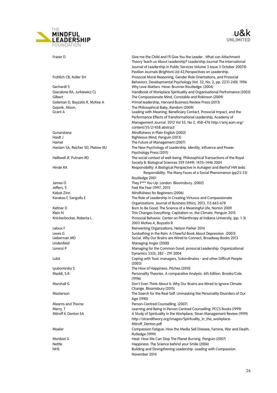



Fraser D Give me the Child and I'll Give You the Leader . What can Attachment Theory Teach us About Leadership? Leadership Journal The International Journal of Leadership in Public Services Volume 3 Issue 3 October 2007© Pavilion Journals (Brighton) Ltd 42,Perspectives on Leadership. Frohlich CB, Koller SH Prosocial Moral Reasoning, Gender Role Orientations, and Prosocial Behaviors. Developmental Psychology (Vol. 32, No. 2, pp. 2231-240). 1996 Gerhardt S Why Love Matters. Hove: Brunner-Routledge. (2004) Giacalone RA, Jurkiewicz CL Handbook of Workplace Spirituality and Organisational Perfromance (2003) Gilbert The Compassionate Mind, Constable and Robinson (2009) Goleman D, Boyzatis R, McKee A Primal leadership, Harvard Business Review Press (2013) Gopnik, Alison, The Philosophical Baby, Random (2009) Grant A **Contact A Leading with Meaning: Beneficiary Contact, Prosocial Impact, and the** Performance Effects of Transformational Leadership, Academy of Management Journal. 2012 Vol 55, No 2, 458-476 http://amj.aom.org/ content/55/2/458.abstract Gunaratana Mindfulness in Plain English (2002) Haidt J Righteous Mind, Penguin (2013) Hamel The Future of Management (2007) Haslam SA, Reicher SD, Platow MJ The New Psychology of Leadership. Identity, Influence and Power. Psychology Press (2011) Helliwell JF, Putnam RD The social context of well-being. Philosophical Transactions of the Royal Society B: Biological Sciences 359 (1449): 1435–1446 2004 Hinde RA **Responsibility: A Biological Perspective in Auhagen and Bierhof HW (eds)** Hinde RA Responsibility: The Many Faces of a Social Phenomenon (pp23-33) Routledge 2001 James O They F\*\*\* You Up. London: Bloomsbury. (2002) Jeffers, S Feel the Fear (1997, 2011) Kabat-Zinn Mindfulness for Beginners (2006) Karakas F, Sarigollu E The Role of Leadership in Creating Virtuous and Compassionate Organizations. Journal of Business Ethics, 2013, 113:663-678 Keltner D<br>Born to Be Good: The Science of a Meaningful Life, Norton 2009<br>Klein N This Changes Everything: Capitalism vs. the Climate. Penguin 2015 Knickerbocker, Roberta L. Prosocial Behavior. Center on Philanthropy at Indiana University, (pp. 1-3) 2003 McKee A, Boyzatis R Laloux F Reinventing Organzations, Nelson Parker 2014 Lewis G Sunbathing in the Rain: A Cheerful Book About Depression (2003) Social. Why Our Brains are Wired to Connect, Broadway Books 2013 Lindenfield Managing Anger (2000) Lorenzi P Managing for the Common Good. prosocial Leadership. Organizational Dynamics 33(3), 282 - 291 2004 Lubit Coping with Toxic managers, Subordinates - and other Difficult People  $(2003)$ Lyubomirsky S The How of Happiness. Pitches (2010) Maddi, S.R. Personality Theories. A comparative Analysis. 6th Edition. Brooks/Cole. (1996) Marshall G **Don't Even Think About It: Why Our Brains are Wired to Ignore Climate** Change. Bloomsbury (2015) Masterson [The Search for the Real Self: Unmasking the Personality Disorders of Our](http://www.amazon.co.uk/Search-Real-Self-Unmasking-Personality/dp/0029202922/ref=sr_1_1?s=books&ie=UTF8&qid=1317153427&sr=1-1)  Age (1990) Mearns and Thorne **Person-Centred Counselling** (2007) Merry, T Learning and Being in Person Centred Counselling. PCCS Books (1999) A Study of Spirituality in the Workplace, Sloan Management Review (1999) http://strandtheory.org/images/Spirituality\_in\_the\_workplace-Mitroff\_Denton.pdf Moeler Compassion Fatigue: How the Media Sell Disease, Famine, War and Death. Rutledge (1999) Monbiot G Heat: How We Can Stop The Planet Burning. Penguin (2007) Nettle Happiness: The Science behind your Smile (2006) NHS **Building and Strengthening Leadership**. Leading with Compassion. November 2014